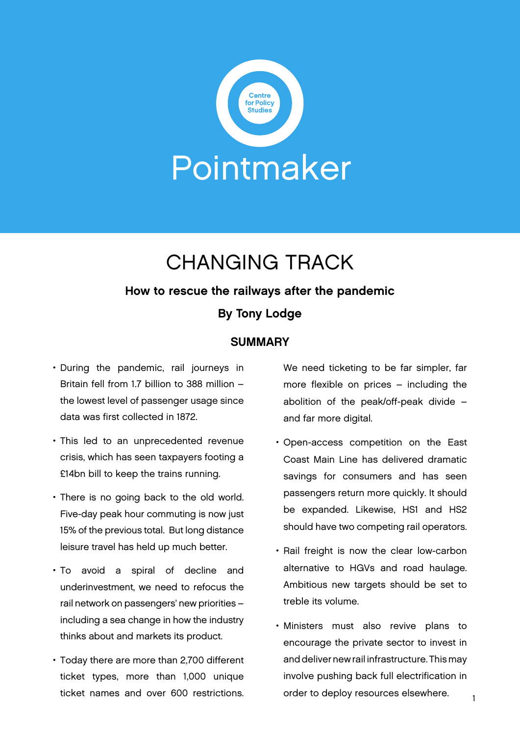

# CHANGING TRACK

#### How to rescue the railways after the pandemic

#### By Tony Lodge

#### **SUMMARY**

- During the pandemic, rail journeys in Britain fell from 1.7 billion to 388 million – the lowest level of passenger usage since data was first collected in 1872.
- This led to an unprecedented revenue crisis, which has seen taxpayers footing a £14bn bill to keep the trains running.
- There is no going back to the old world. Five-day peak hour commuting is now just 15% of the previous total. But long distance leisure travel has held up much better.
- To avoid a spiral of decline and underinvestment, we need to refocus the rail network on passengers' new priorities – including a sea change in how the industry thinks about and markets its product.
- Today there are more than 2,700 different ticket types, more than 1,000 unique ticket names and over 600 restrictions.

We need ticketing to be far simpler, far more flexible on prices – including the abolition of the peak/off-peak divide – and far more digital.

- Open-access competition on the East Coast Main Line has delivered dramatic savings for consumers and has seen passengers return more quickly. It should be expanded. Likewise, HS1 and HS2 should have two competing rail operators.
- Rail freight is now the clear low-carbon alternative to HGVs and road haulage. Ambitious new targets should be set to treble its volume.
- Ministers must also revive plans to encourage the private sector to invest in and deliver new rail infrastructure. This may involve pushing back full electrification in order to deploy resources elsewhere.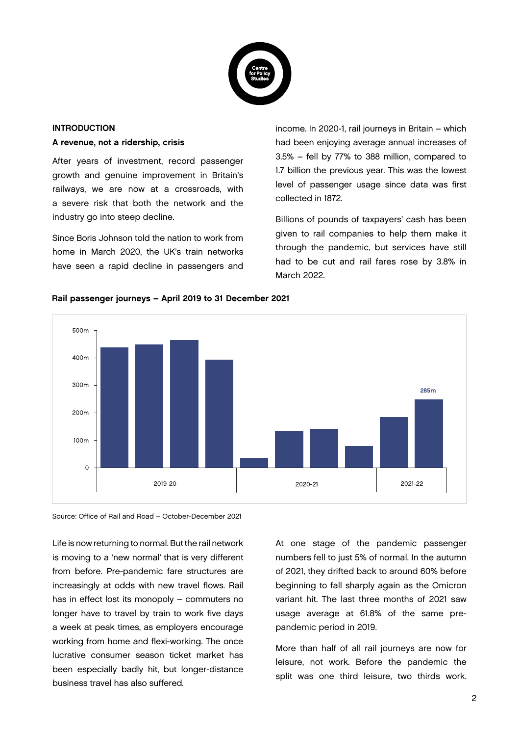

## INTRODUCTION

A revenue, not a ridership, crisis

After years of investment, record passenger growth and genuine improvement in Britain's railways, we are now at a crossroads, with a severe risk that both the network and the industry go into steep decline.

Since Boris Johnson told the nation to work from home in March 2020, the UK's train networks have seen a rapid decline in passengers and

income. In 2020-1, rail journeys in Britain – which had been enjoying average annual increases of 3.5% – fell by 77% to 388 million, compared to 1.7 billion the previous year. This was the lowest level of passenger usage since data was first collected in 1872.

Billions of pounds of taxpayers' cash has been given to rail companies to help them make it through the pandemic, but services have still had to be cut and rail fares rose by 3.8% in March 2022.



#### Rail passenger journeys – April 2019 to 31 December 2021

Source: Office of Rail and Road – October-December 2021

Life is now returning to normal. But the rail network is moving to a 'new normal' that is very different from before. Pre-pandemic fare structures are increasingly at odds with new travel flows. Rail has in effect lost its monopoly – commuters no longer have to travel by train to work five days a week at peak times, as employers encourage working from home and flexi-working. The once lucrative consumer season ticket market has been especially badly hit, but longer-distance business travel has also suffered.

At one stage of the pandemic passenger numbers fell to just 5% of normal. In the autumn of 2021, they drifted back to around 60% before beginning to fall sharply again as the Omicron variant hit. The last three months of 2021 saw usage average at 61.8% of the same prepandemic period in 2019.

More than half of all rail journeys are now for leisure, not work. Before the pandemic the split was one third leisure, two thirds work.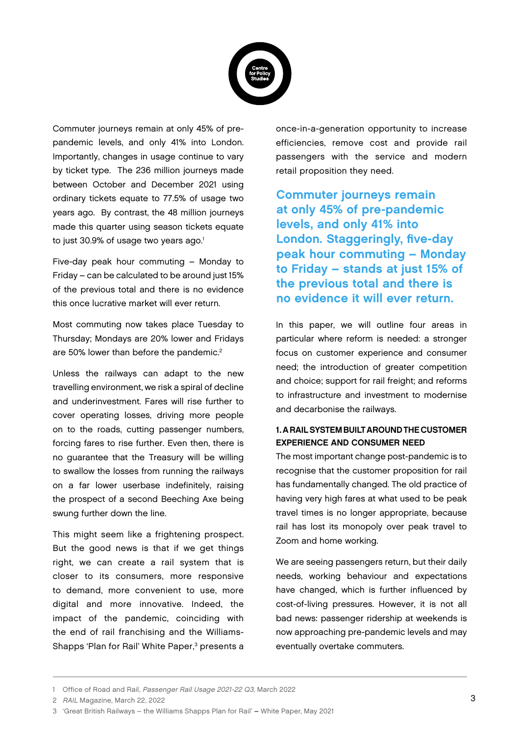

Commuter journeys remain at only 45% of prepandemic levels, and only 41% into London. Importantly, changes in usage continue to vary by ticket type. The 236 million journeys made between October and December 2021 using ordinary tickets equate to 77.5% of usage two years ago. By contrast, the 48 million journeys made this quarter using season tickets equate to just 30.9% of usage two years ago.<sup>1</sup>

Five-day peak hour commuting – Monday to Friday – can be calculated to be around just 15% of the previous total and there is no evidence this once lucrative market will ever return.

Most commuting now takes place Tuesday to Thursday; Mondays are 20% lower and Fridays are 50% lower than before the pandemic.<sup>2</sup>

Unless the railways can adapt to the new travelling environment, we risk a spiral of decline and underinvestment. Fares will rise further to cover operating losses, driving more people on to the roads, cutting passenger numbers, forcing fares to rise further. Even then, there is no guarantee that the Treasury will be willing to swallow the losses from running the railways on a far lower userbase indefinitely, raising the prospect of a second Beeching Axe being swung further down the line.

This might seem like a frightening prospect. But the good news is that if we get things right, we can create a rail system that is closer to its consumers, more responsive to demand, more convenient to use, more digital and more innovative. Indeed, the impact of the pandemic, coinciding with the end of rail franchising and the Williams-Shapps 'Plan for Rail' White Paper,<sup>3</sup> presents a once-in-a-generation opportunity to increase efficiencies, remove cost and provide rail passengers with the service and modern retail proposition they need.

Commuter journeys remain at only 45% of pre-pandemic levels, and only 41% into London. Staggeringly, five-day peak hour commuting – Monday to Friday – stands at just 15% of the previous total and there is no evidence it will ever return.

In this paper, we will outline four areas in particular where reform is needed: a stronger focus on customer experience and consumer need; the introduction of greater competition and choice; support for rail freight; and reforms to infrastructure and investment to modernise and decarbonise the railways.

#### 1. A RAIL SYSTEM BUILT AROUND THE CUSTOMER EXPERIENCE AND CONSUMER NEED

The most important change post-pandemic is to recognise that the customer proposition for rail has fundamentally changed. The old practice of having very high fares at what used to be peak travel times is no longer appropriate, because rail has lost its monopoly over peak travel to Zoom and home working.

We are seeing passengers return, but their daily needs, working behaviour and expectations have changed, which is further influenced by cost-of-living pressures. However, it is not all bad news: passenger ridership at weekends is now approaching pre-pandemic levels and may eventually overtake commuters.

2 RAIL Magazine, March 22, 2022

<sup>1</sup> Office of Road and Rail, Passenger Rail Usage 2021-22 Q3, March 2022

<sup>3 &#</sup>x27;Great British Railways – the Williams Shapps Plan for Rail' – White Paper, May 2021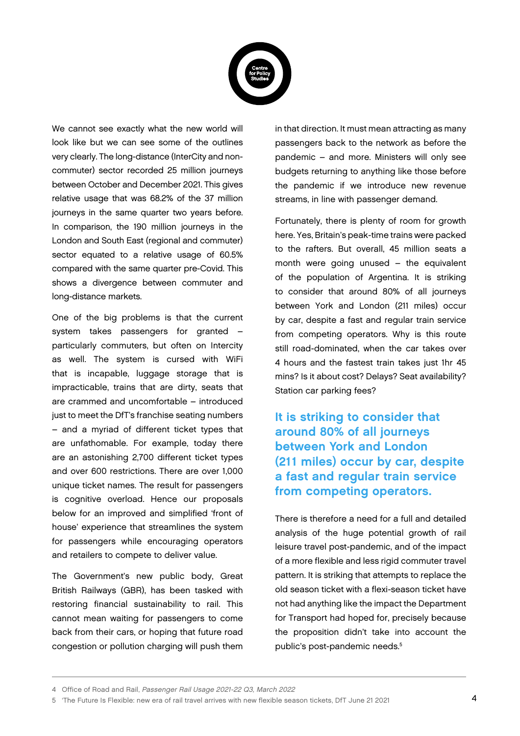

We cannot see exactly what the new world will look like but we can see some of the outlines very clearly. The long-distance (InterCity and noncommuter) sector recorded 25 million journeys between October and December 2021. This gives relative usage that was 68.2% of the 37 million journeys in the same quarter two years before. In comparison, the 190 million journeys in the London and South East (regional and commuter) sector equated to a relative usage of 60.5% compared with the same quarter pre-Covid. This shows a divergence between commuter and long-distance markets.

One of the big problems is that the current system takes passengers for granted – particularly commuters, but often on Intercity as well. The system is cursed with WiFi that is incapable, luggage storage that is impracticable, trains that are dirty, seats that are crammed and uncomfortable – introduced just to meet the DfT's franchise seating numbers – and a myriad of different ticket types that are unfathomable. For example, today there are an astonishing 2,700 different ticket types and over 600 restrictions. There are over 1,000 unique ticket names. The result for passengers is cognitive overload. Hence our proposals below for an improved and simplified 'front of house' experience that streamlines the system for passengers while encouraging operators and retailers to compete to deliver value.

The Government's new public body, Great British Railways (GBR), has been tasked with restoring financial sustainability to rail. This cannot mean waiting for passengers to come back from their cars, or hoping that future road congestion or pollution charging will push them in that direction. It must mean attracting as many passengers back to the network as before the pandemic – and more. Ministers will only see budgets returning to anything like those before the pandemic if we introduce new revenue streams, in line with passenger demand.

Fortunately, there is plenty of room for growth here. Yes, Britain's peak-time trains were packed to the rafters. But overall, 45 million seats a month were going unused – the equivalent of the population of Argentina. It is striking to consider that around 80% of all journeys between York and London (211 miles) occur by car, despite a fast and regular train service from competing operators. Why is this route still road-dominated, when the car takes over 4 hours and the fastest train takes just 1hr 45 mins? Is it about cost? Delays? Seat availability? Station car parking fees?

It is striking to consider that around 80% of all journeys between York and London (211 miles) occur by car, despite a fast and regular train service from competing operators.

There is therefore a need for a full and detailed analysis of the huge potential growth of rail leisure travel post-pandemic, and of the impact of a more flexible and less rigid commuter travel pattern. It is striking that attempts to replace the old season ticket with a flexi-season ticket have not had anything like the impact the Department for Transport had hoped for, precisely because the proposition didn't take into account the public's post-pandemic needs.<sup>5</sup>

<sup>4</sup> Office of Road and Rail, Passenger Rail Usage 2021-22 Q3, March 2022

<sup>5 &#</sup>x27;The Future Is Flexible: new era of rail travel arrives with new flexible season tickets, DfT June 21 2021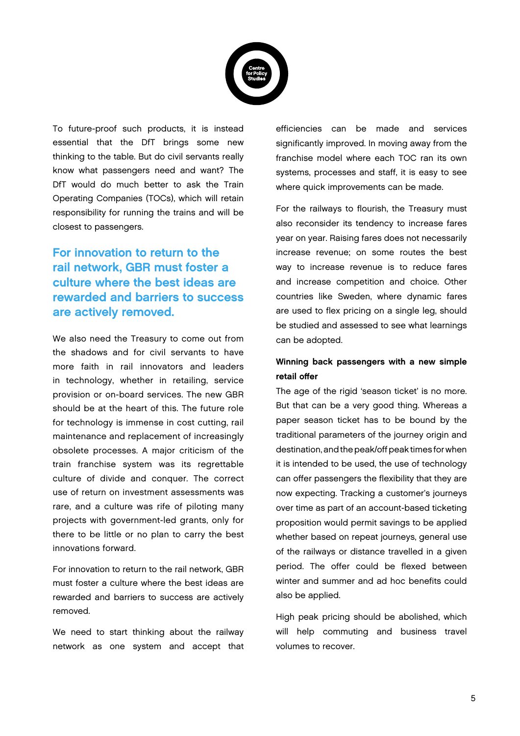

To future-proof such products, it is instead essential that the DfT brings some new thinking to the table. But do civil servants really know what passengers need and want? The DfT would do much better to ask the Train Operating Companies (TOCs), which will retain responsibility for running the trains and will be closest to passengers.

### For innovation to return to the rail network, GBR must foster a culture where the best ideas are rewarded and barriers to success are actively removed.

We also need the Treasury to come out from the shadows and for civil servants to have more faith in rail innovators and leaders in technology, whether in retailing, service provision or on-board services. The new GBR should be at the heart of this. The future role for technology is immense in cost cutting, rail maintenance and replacement of increasingly obsolete processes. A major criticism of the train franchise system was its regrettable culture of divide and conquer. The correct use of return on investment assessments was rare, and a culture was rife of piloting many projects with government-led grants, only for there to be little or no plan to carry the best innovations forward.

For innovation to return to the rail network, GBR must foster a culture where the best ideas are rewarded and barriers to success are actively removed.

We need to start thinking about the railway network as one system and accept that efficiencies can be made and services significantly improved. In moving away from the franchise model where each TOC ran its own systems, processes and staff, it is easy to see where quick improvements can be made.

For the railways to flourish, the Treasury must also reconsider its tendency to increase fares year on year. Raising fares does not necessarily increase revenue; on some routes the best way to increase revenue is to reduce fares and increase competition and choice. Other countries like Sweden, where dynamic fares are used to flex pricing on a single leg, should be studied and assessed to see what learnings can be adopted.

#### Winning back passengers with a new simple retail offer

The age of the rigid 'season ticket' is no more. But that can be a very good thing. Whereas a paper season ticket has to be bound by the traditional parameters of the journey origin and destination, and the peak/off peak times for when it is intended to be used, the use of technology can offer passengers the flexibility that they are now expecting. Tracking a customer's journeys over time as part of an account-based ticketing proposition would permit savings to be applied whether based on repeat journeys, general use of the railways or distance travelled in a given period. The offer could be flexed between winter and summer and ad hoc benefits could also be applied.

High peak pricing should be abolished, which will help commuting and business travel volumes to recover.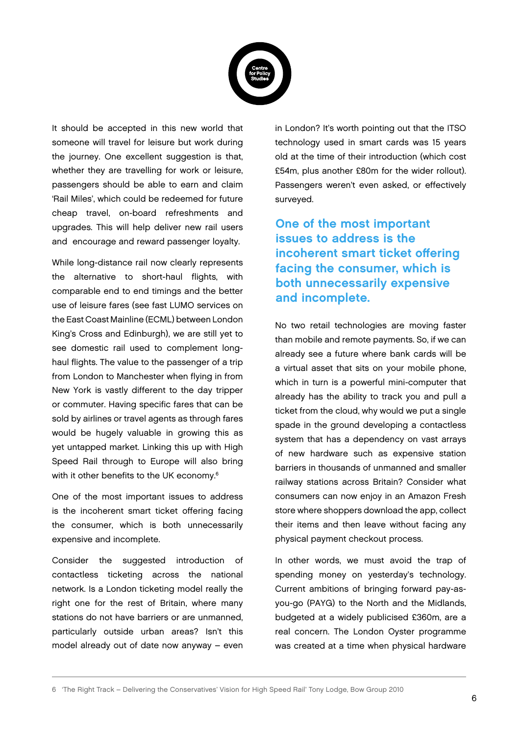

It should be accepted in this new world that someone will travel for leisure but work during the journey. One excellent suggestion is that, whether they are travelling for work or leisure, passengers should be able to earn and claim 'Rail Miles', which could be redeemed for future cheap travel, on-board refreshments and upgrades. This will help deliver new rail users and encourage and reward passenger loyalty.

While long-distance rail now clearly represents the alternative to short-haul flights, with comparable end to end timings and the better use of leisure fares (see fast LUMO services on the East Coast Mainline (ECML) between London King's Cross and Edinburgh), we are still yet to see domestic rail used to complement longhaul flights. The value to the passenger of a trip from London to Manchester when flying in from New York is vastly different to the day tripper or commuter. Having specific fares that can be sold by airlines or travel agents as through fares would be hugely valuable in growing this as yet untapped market. Linking this up with High Speed Rail through to Europe will also bring with it other benefits to the UK economy.<sup>6</sup>

One of the most important issues to address is the incoherent smart ticket offering facing the consumer, which is both unnecessarily expensive and incomplete.

Consider the suggested introduction of contactless ticketing across the national network. Is a London ticketing model really the right one for the rest of Britain, where many stations do not have barriers or are unmanned, particularly outside urban areas? Isn't this model already out of date now anyway – even

in London? It's worth pointing out that the ITSO technology used in smart cards was 15 years old at the time of their introduction (which cost £54m, plus another £80m for the wider rollout). Passengers weren't even asked, or effectively surveyed.

One of the most important issues to address is the incoherent smart ticket offering facing the consumer, which is both unnecessarily expensive and incomplete.

No two retail technologies are moving faster than mobile and remote payments. So, if we can already see a future where bank cards will be a virtual asset that sits on your mobile phone, which in turn is a powerful mini-computer that already has the ability to track you and pull a ticket from the cloud, why would we put a single spade in the ground developing a contactless system that has a dependency on vast arrays of new hardware such as expensive station barriers in thousands of unmanned and smaller railway stations across Britain? Consider what consumers can now enjoy in an Amazon Fresh store where shoppers download the app, collect their items and then leave without facing any physical payment checkout process.

In other words, we must avoid the trap of spending money on yesterday's technology. Current ambitions of bringing forward pay-asyou-go (PAYG) to the North and the Midlands, budgeted at a widely publicised £360m, are a real concern. The London Oyster programme was created at a time when physical hardware

6 'The Right Track – Delivering the Conservatives' Vision for High Speed Rail' Tony Lodge, Bow Group 2010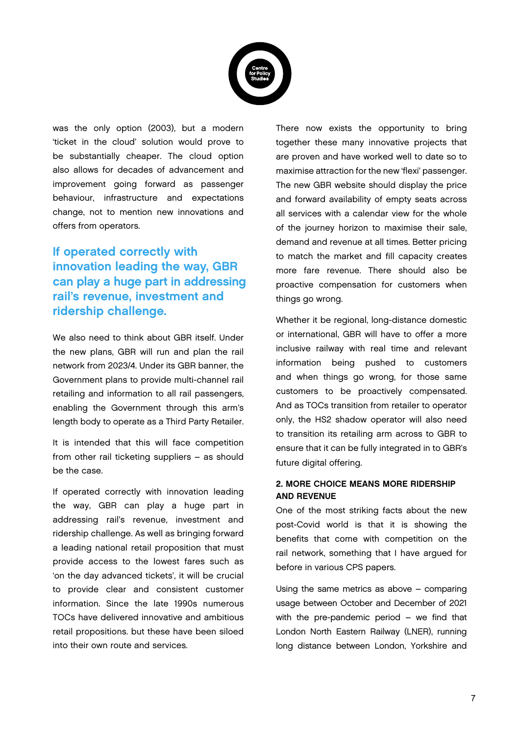

was the only option (2003), but a modern 'ticket in the cloud' solution would prove to be substantially cheaper. The cloud option also allows for decades of advancement and improvement going forward as passenger behaviour, infrastructure and expectations change, not to mention new innovations and offers from operators.

## If operated correctly with innovation leading the way, GBR can play a huge part in addressing rail's revenue, investment and ridership challenge.

We also need to think about GBR itself. Under the new plans, GBR will run and plan the rail network from 2023/4. Under its GBR banner, the Government plans to provide multi-channel rail retailing and information to all rail passengers, enabling the Government through this arm's length body to operate as a Third Party Retailer.

It is intended that this will face competition from other rail ticketing suppliers – as should be the case.

If operated correctly with innovation leading the way, GBR can play a huge part in addressing rail's revenue, investment and ridership challenge. As well as bringing forward a leading national retail proposition that must provide access to the lowest fares such as 'on the day advanced tickets', it will be crucial to provide clear and consistent customer information. Since the late 1990s numerous TOCs have delivered innovative and ambitious retail propositions. but these have been siloed into their own route and services.

There now exists the opportunity to bring together these many innovative projects that are proven and have worked well to date so to maximise attraction for the new 'flexi' passenger. The new GBR website should display the price and forward availability of empty seats across all services with a calendar view for the whole of the journey horizon to maximise their sale, demand and revenue at all times. Better pricing to match the market and fill capacity creates more fare revenue. There should also be proactive compensation for customers when things go wrong.

Whether it be regional, long-distance domestic or international, GBR will have to offer a more inclusive railway with real time and relevant information being pushed to customers and when things go wrong, for those same customers to be proactively compensated. And as TOCs transition from retailer to operator only, the HS2 shadow operator will also need to transition its retailing arm across to GBR to ensure that it can be fully integrated in to GBR's future digital offering.

#### 2. MORE CHOICE MEANS MORE RIDERSHIP AND REVENUE

One of the most striking facts about the new post-Covid world is that it is showing the benefits that come with competition on the rail network, something that I have argued for before in various CPS papers.

Using the same metrics as above – comparing usage between October and December of 2021 with the pre-pandemic period – we find that London North Eastern Railway (LNER), running long distance between London, Yorkshire and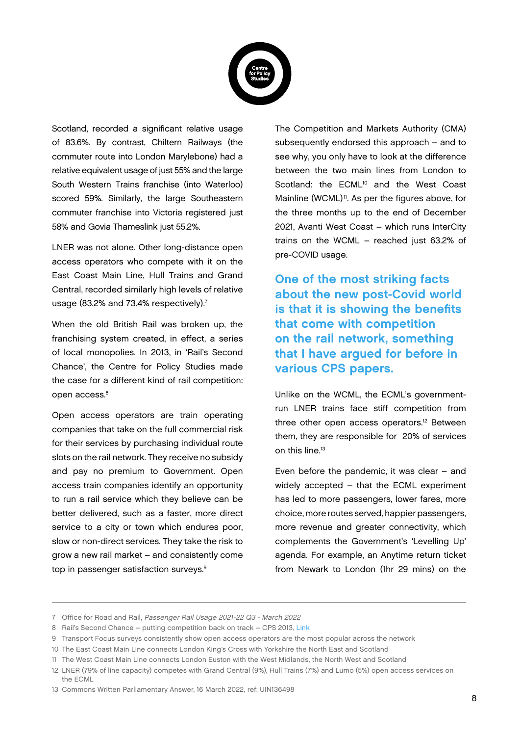

Scotland, recorded a significant relative usage of 83.6%. By contrast, Chiltern Railways (the commuter route into London Marylebone) had a relative equivalent usage of just 55% and the large South Western Trains franchise (into Waterloo) scored 59%. Similarly, the large Southeastern commuter franchise into Victoria registered just 58% and Govia Thameslink just 55.2%.

LNER was not alone. Other long-distance open access operators who compete with it on the East Coast Main Line, Hull Trains and Grand Central, recorded similarly high levels of relative usage (83.2% and 73.4% respectively).<sup>7</sup>

When the old British Rail was broken up, the franchising system created, in effect, a series of local monopolies. In 2013, in 'Rail's Second Chance', the Centre for Policy Studies made the case for a different kind of rail competition: open access.<sup>8</sup>

Open access operators are train operating companies that take on the full commercial risk for their services by purchasing individual route slots on the rail network. They receive no subsidy and pay no premium to Government. Open access train companies identify an opportunity to run a rail service which they believe can be better delivered, such as a faster, more direct service to a city or town which endures poor, slow or non-direct services. They take the risk to grow a new rail market – and consistently come top in passenger satisfaction surveys.<sup>9</sup>

The Competition and Markets Authority (CMA) subsequently endorsed this approach – and to see why, you only have to look at the difference between the two main lines from London to Scotland: the ECML<sup>10</sup> and the West Coast Mainline (WCML)<sup>11</sup>. As per the figures above, for the three months up to the end of December 2021, Avanti West Coast – which runs InterCity trains on the WCML – reached just 63.2% of pre-COVID usage.

One of the most striking facts about the new post-Covid world is that it is showing the benefits that come with competition on the rail network, something that I have argued for before in various CPS papers.

Unlike on the WCML, the ECML's governmentrun LNER trains face stiff competition from three other open access operators.<sup>12</sup> Between them, they are responsible for 20% of services on this line<sup>13</sup>

Even before the pandemic, it was clear – and widely accepted – that the ECML experiment has led to more passengers, lower fares, more choice, more routes served, happier passengers, more revenue and greater connectivity, which complements the Government's 'Levelling Up' agenda. For example, an Anytime return ticket from Newark to London (1hr 29 mins) on the

<sup>7</sup> Office for Road and Rail, Passenger Rail Usage 2021-22 Q3 - March 2022

<sup>8</sup> Rail's Second Chance – putting competition back on track – CPS 2013, [Link](https://cps.org.uk/research/rails-second-chance/)

<sup>9</sup> Transport Focus surveys consistently show open access operators are the most popular across the network

<sup>10</sup> The East Coast Main Line connects London King's Cross with Yorkshire the North East and Scotland

<sup>11</sup> The West Coast Main Line connects London Euston with the West Midlands, the North West and Scotland

<sup>12</sup> LNER (79% of line capacity) competes with Grand Central (9%), Hull Trains (7%) and Lumo (5%) open access services on the ECML

<sup>13</sup> Commons Written Parliamentary Answer, 16 March 2022, ref: UIN136498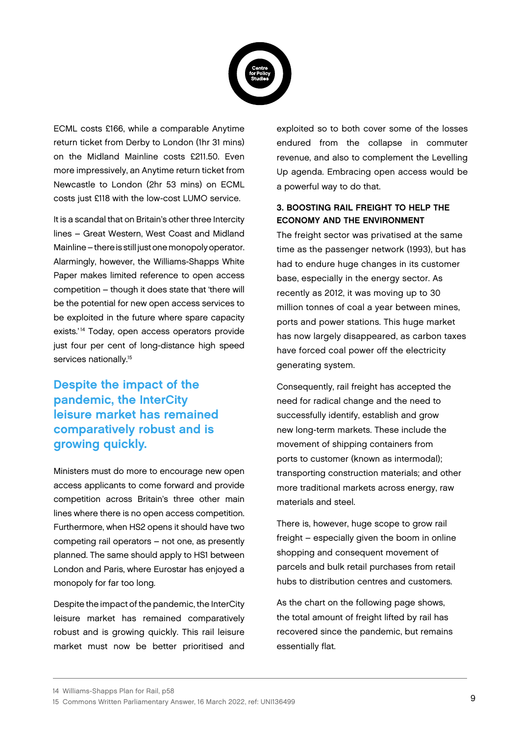

ECML costs £166, while a comparable Anytime return ticket from Derby to London (1hr 31 mins) on the Midland Mainline costs £211.50. Even more impressively, an Anytime return ticket from Newcastle to London (2hr 53 mins) on ECML costs just £118 with the low-cost LUMO service.

It is a scandal that on Britain's other three Intercity lines – Great Western, West Coast and Midland Mainline – there is still just one monopoly operator. Alarmingly, however, the Williams-Shapps White Paper makes limited reference to open access competition – though it does state that 'there will be the potential for new open access services to be exploited in the future where spare capacity exists.<sup>'14</sup> Today, open access operators provide just four per cent of long-distance high speed services nationally.<sup>15</sup>

## Despite the impact of the pandemic, the InterCity leisure market has remained comparatively robust and is growing quickly.

Ministers must do more to encourage new open access applicants to come forward and provide competition across Britain's three other main lines where there is no open access competition. Furthermore, when HS2 opens it should have two competing rail operators – not one, as presently planned. The same should apply to HS1 between London and Paris, where Eurostar has enjoyed a monopoly for far too long.

Despite the impact of the pandemic, the InterCity leisure market has remained comparatively robust and is growing quickly. This rail leisure market must now be better prioritised and exploited so to both cover some of the losses endured from the collapse in commuter revenue, and also to complement the Levelling Up agenda. Embracing open access would be a powerful way to do that.

#### 3. BOOSTING RAIL FREIGHT TO HELP THE ECONOMY AND THE ENVIRONMENT

The freight sector was privatised at the same time as the passenger network (1993), but has had to endure huge changes in its customer base, especially in the energy sector. As recently as 2012, it was moving up to 30 million tonnes of coal a year between mines, ports and power stations. This huge market has now largely disappeared, as carbon taxes have forced coal power off the electricity generating system.

Consequently, rail freight has accepted the need for radical change and the need to successfully identify, establish and grow new long-term markets. These include the movement of shipping containers from ports to customer (known as intermodal); transporting construction materials; and other more traditional markets across energy, raw materials and steel.

There is, however, huge scope to grow rail freight – especially given the boom in online shopping and consequent movement of parcels and bulk retail purchases from retail hubs to distribution centres and customers.

As the chart on the following page shows, the total amount of freight lifted by rail has recovered since the pandemic, but remains essentially flat.

<sup>14</sup> Williams-Shapps Plan for Rail, p58

<sup>15</sup> Commons Written Parliamentary Answer, 16 March 2022, ref: UNI136499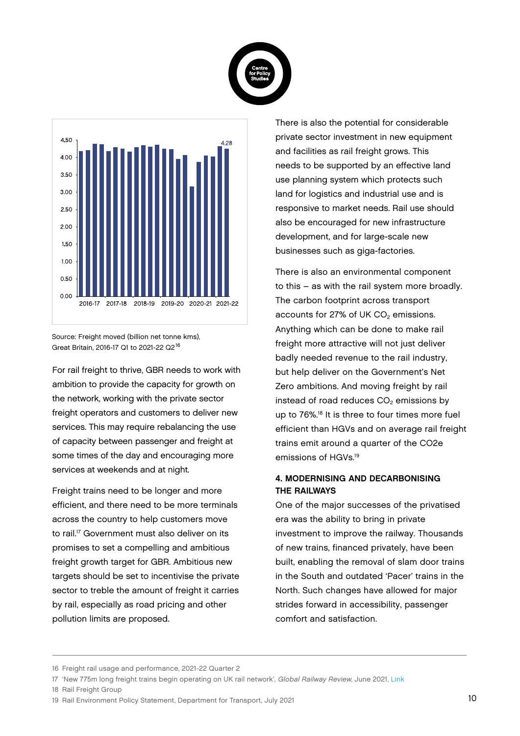



Source: Freight moved (billion net tonne kms), Great Britain, 2016-17 Q1 to 2021-22 Q2<sup>16</sup>

For rail freight to thrive, GBR needs to work with ambition to provide the capacity for growth on the network, working with the private sector freight operators and customers to deliver new services. This may require rebalancing the use of capacity between passenger and freight at some times of the day and encouraging more services at weekends and at night.

Freight trains need to be longer and more efficient, and there need to be more terminals across the country to help customers move to rail.<sup>17</sup> Government must also deliver on its promises to set a compelling and ambitious freight growth target for GBR. Ambitious new targets should be set to incentivise the private sector to treble the amount of freight it carries by rail, especially as road pricing and other pollution limits are proposed.

There is also the potential for considerable private sector investment in new equipment and facilities as rail freight grows. This needs to be supported by an effective land use planning system which protects such land for logistics and industrial use and is responsive to market needs. Rail use should also be encouraged for new infrastructure development, and for large-scale new businesses such as giga-factories.

There is also an environmental component to this – as with the rail system more broadly. The carbon footprint across transport accounts for 27% of UK  $CO<sub>2</sub>$  emissions. Anything which can be done to make rail freight more attractive will not just deliver badly needed revenue to the rail industry, but help deliver on the Government's Net Zero ambitions. And moving freight by rail instead of road reduces CO<sub>2</sub> emissions by up to 76%.<sup>18</sup> It is three to four times more fuel efficient than HGVs and on average rail freight trains emit around a quarter of the CO2e emissions of HGVs<sup>19</sup>

#### 4. MODERNISING AND DECARBONISING THE RAILWAYS

One of the major successes of the privatised era was the ability to bring in private investment to improve the railway. Thousands of new trains, financed privately, have been built, enabling the removal of slam door trains in the South and outdated 'Pacer' trains in the North. Such changes have allowed for major strides forward in accessibility, passenger comfort and satisfaction.

18 Rail Freight Group

<sup>16</sup> Freight rail usage and performance, 2021-22 Quarter 2

<sup>17 &#</sup>x27;New 775m long freight trains begin operating on UK rail network', Global Railway Review, June 2021, [Link](https://www.globalrailwayreview.com/news/124322/775m-long-freight-trains-uk-rail/)

<sup>19</sup> Rail Environment Policy Statement, Department for Transport, July 2021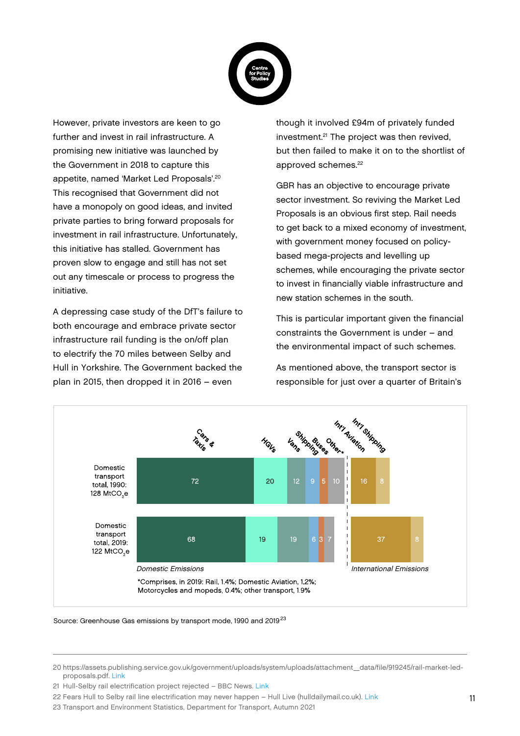

However, private investors are keen to go further and invest in rail infrastructure. A promising new initiative was launched by the Government in 2018 to capture this appetite, named 'Market Led Proposals'.<sup>20</sup> This recognised that Government did not have a monopoly on good ideas, and invited private parties to bring forward proposals for investment in rail infrastructure. Unfortunately, this initiative has stalled. Government has proven slow to engage and still has not set out any timescale or process to progress the initiative.

A depressing case study of the DfT's failure to both encourage and embrace private sector infrastructure rail funding is the on/off plan to electrify the 70 miles between Selby and Hull in Yorkshire. The Government backed the plan in 2015, then dropped it in 2016 – even

though it involved £94m of privately funded investment.<sup>21</sup> The project was then revived, but then failed to make it on to the shortlist of approved schemes.<sup>22</sup>

GBR has an objective to encourage private sector investment. So reviving the Market Led Proposals is an obvious first step. Rail needs to get back to a mixed economy of investment, with government money focused on policybased mega-projects and levelling up schemes, while encouraging the private sector to invest in financially viable infrastructure and new station schemes in the south.

This is particular important given the financial constraints the Government is under – and the environmental impact of such schemes.

As mentioned above, the transport sector is responsible for just over a quarter of Britain's



Source: Greenhouse Gas emissions by transport mode, 1990 and 2019<sup>23</sup>

<sup>20</sup> https://assets.publishing.service.gov.uk/government/uploads/system/uploads/attachment\_data/file/919245/rail-market-ledproposals.pdf. [Link](https://assets.publishing.service.gov.uk/government/uploads/system/uploads/attachment_data/file/919245/rail-market-led-proposals.pdf)

<sup>21</sup> Hull-Selby rail electrification project rejected - BBC News. [Link](https://www.bbc.co.uk/news/uk-england-humber-38004362#:~:text=Plans%20to%20electrify%20the%20rail,112km)%20of%20track%20in%202013.)

<sup>22</sup> Fears Hull to Selby rail line electrification may never happen – Hull Live (hulldailymail.co.uk). [Link](https://www.hulldailymail.co.uk/news/hull-east-yorkshire-news/fears-hull-selby-rail-line-5909221)

<sup>23</sup> Transport and Environment Statistics, Department for Transport, Autumn 2021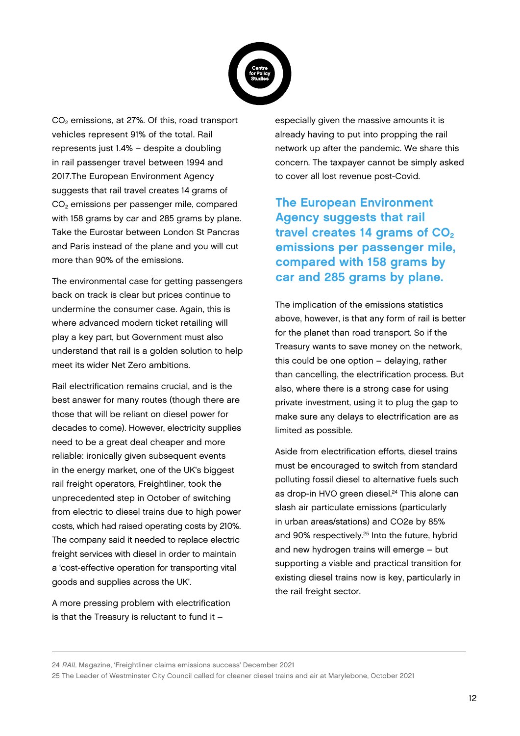

CO<sub>2</sub> emissions, at 27%. Of this, road transport vehicles represent 91% of the total. Rail represents just 1.4% – despite a doubling in rail passenger travel between 1994 and 2017.The European Environment Agency suggests that rail travel creates 14 grams of CO2 emissions per passenger mile, compared with 158 grams by car and 285 grams by plane. Take the Eurostar between London St Pancras and Paris instead of the plane and you will cut more than 90% of the emissions.

The environmental case for getting passengers back on track is clear but prices continue to undermine the consumer case. Again, this is where advanced modern ticket retailing will play a key part, but Government must also understand that rail is a golden solution to help meet its wider Net Zero ambitions.

Rail electrification remains crucial, and is the best answer for many routes (though there are those that will be reliant on diesel power for decades to come). However, electricity supplies need to be a great deal cheaper and more reliable: ironically given subsequent events in the energy market, one of the UK's biggest rail freight operators, Freightliner, took the unprecedented step in October of switching from electric to diesel trains due to high power costs, which had raised operating costs by 210%. The company said it needed to replace electric freight services with diesel in order to maintain a 'cost-effective operation for transporting vital goods and supplies across the UK'.

A more pressing problem with electrification is that the Treasury is reluctant to fund it –

especially given the massive amounts it is already having to put into propping the rail network up after the pandemic. We share this concern. The taxpayer cannot be simply asked to cover all lost revenue post-Covid.

The European Environment Agency suggests that rail travel creates 14 grams of  $CO<sub>2</sub>$ emissions per passenger mile, compared with 158 grams by car and 285 grams by plane.

The implication of the emissions statistics above, however, is that any form of rail is better for the planet than road transport. So if the Treasury wants to save money on the network, this could be one option – delaying, rather than cancelling, the electrification process. But also, where there is a strong case for using private investment, using it to plug the gap to make sure any delays to electrification are as limited as possible.

Aside from electrification efforts, diesel trains must be encouraged to switch from standard polluting fossil diesel to alternative fuels such as drop-in HVO green diesel.<sup>24</sup> This alone can slash air particulate emissions (particularly in urban areas/stations) and CO2e by 85% and 90% respectively.<sup>25</sup> Into the future, hybrid and new hydrogen trains will emerge – but supporting a viable and practical transition for existing diesel trains now is key, particularly in the rail freight sector.

24 RAIL Magazine, 'Freightliner claims emissions success' December 2021

25 The Leader of Westminster City Council called for cleaner diesel trains and air at Marylebone, October 2021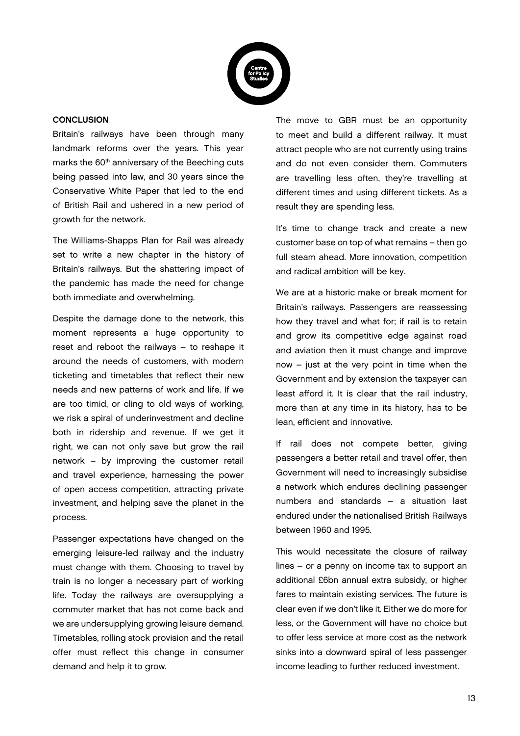

#### **CONCLUSION**

Britain's railways have been through many landmark reforms over the years. This year marks the 60<sup>th</sup> anniversary of the Beeching cuts being passed into law, and 30 years since the Conservative White Paper that led to the end of British Rail and ushered in a new period of growth for the network.

The Williams-Shapps Plan for Rail was already set to write a new chapter in the history of Britain's railways. But the shattering impact of the pandemic has made the need for change both immediate and overwhelming.

Despite the damage done to the network, this moment represents a huge opportunity to reset and reboot the railways – to reshape it around the needs of customers, with modern ticketing and timetables that reflect their new needs and new patterns of work and life. If we are too timid, or cling to old ways of working, we risk a spiral of underinvestment and decline both in ridership and revenue. If we get it right, we can not only save but grow the rail network – by improving the customer retail and travel experience, harnessing the power of open access competition, attracting private investment, and helping save the planet in the process.

Passenger expectations have changed on the emerging leisure-led railway and the industry must change with them. Choosing to travel by train is no longer a necessary part of working life. Today the railways are oversupplying a commuter market that has not come back and we are undersupplying growing leisure demand. Timetables, rolling stock provision and the retail offer must reflect this change in consumer demand and help it to grow.

The move to GBR must be an opportunity to meet and build a different railway. It must attract people who are not currently using trains and do not even consider them. Commuters are travelling less often, they're travelling at different times and using different tickets. As a result they are spending less.

It's time to change track and create a new customer base on top of what remains – then go full steam ahead. More innovation, competition and radical ambition will be key.

We are at a historic make or break moment for Britain's railways. Passengers are reassessing how they travel and what for; if rail is to retain and grow its competitive edge against road and aviation then it must change and improve now – just at the very point in time when the Government and by extension the taxpayer can least afford it. It is clear that the rail industry, more than at any time in its history, has to be lean, efficient and innovative.

If rail does not compete better, giving passengers a better retail and travel offer, then Government will need to increasingly subsidise a network which endures declining passenger numbers and standards – a situation last endured under the nationalised British Railways between 1960 and 1995.

This would necessitate the closure of railway lines – or a penny on income tax to support an additional £6bn annual extra subsidy, or higher fares to maintain existing services. The future is clear even if we don't like it. Either we do more for less, or the Government will have no choice but to offer less service at more cost as the network sinks into a downward spiral of less passenger income leading to further reduced investment.